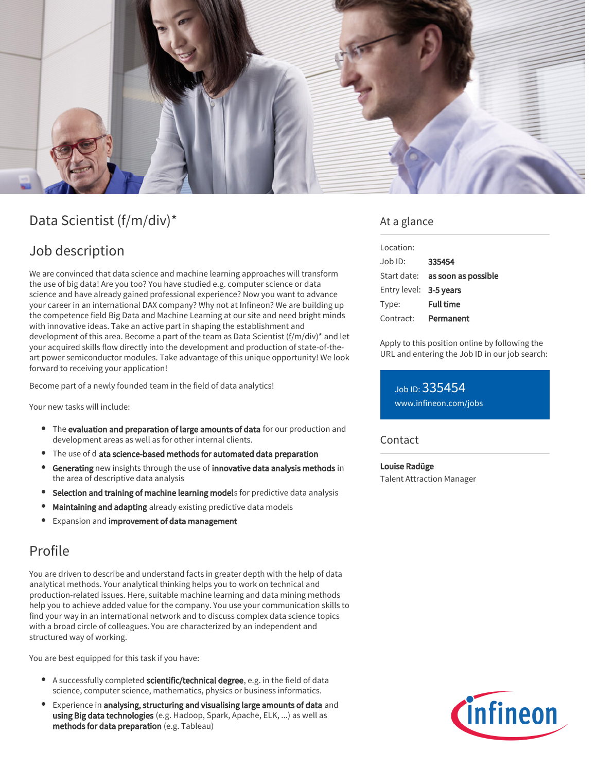

# Data Scientist (f/m/div)\*

## Job description

We are convinced that data science and machine learning approaches will transform the use of big data! Are you too? You have studied e.g. computer science or data science and have already gained professional experience? Now you want to advance your career in an international DAX company? Why not at Infineon? We are building up the competence field Big Data and Machine Learning at our site and need bright minds with innovative ideas. Take an active part in shaping the establishment and development of this area. Become a part of the team as Data Scientist (f/m/div)\* and let your acquired skills flow directly into the development and production of state-of-theart power semiconductor modules. Take advantage of this unique opportunity! We look forward to receiving your application!

Become part of a newly founded team in the field of data analytics!

Your new tasks will include:

- The evaluation and preparation of large amounts of data for our production and development areas as well as for other internal clients.
- The use of d ata science-based methods for automated data preparation
- Generating new insights through the use of innovative data analysis methods in the area of descriptive data analysis
- **Selection and training of machine learning models** for predictive data analysis
- Maintaining and adapting already existing predictive data models
- Expansion and improvement of data management

## Profile

You are driven to describe and understand facts in greater depth with the help of data analytical methods. Your analytical thinking helps you to work on technical and production-related issues. Here, suitable machine learning and data mining methods help you to achieve added value for the company. You use your communication skills to find your way in an international network and to discuss complex data science topics with a broad circle of colleagues. You are characterized by an independent and structured way of working.

You are best equipped for this task if you have:

- A successfully completed scientific/technical degree, e.g. in the field of data science, computer science, mathematics, physics or business informatics.
- Experience in analysing, structuring and visualising large amounts of data and using Big data technologies (e.g. Hadoop, Spark, Apache, ELK, ...) as well as methods for data preparation (e.g. Tableau)

### At a glance

| Location:              |                                 |
|------------------------|---------------------------------|
| $Joh$ ID:              | 335454                          |
|                        | Start date: as soon as possible |
| Entry level: 3-5 years |                                 |
| Type:                  | <b>Full time</b>                |
| Contract:              | Permanent                       |

Apply to this position online by following the URL and entering the Job ID in our job search:

Job ID: 335454 [www.infineon.com/jobs](https://www.infineon.com/jobs)

#### Contact

Louise Radüge Talent Attraction Manager